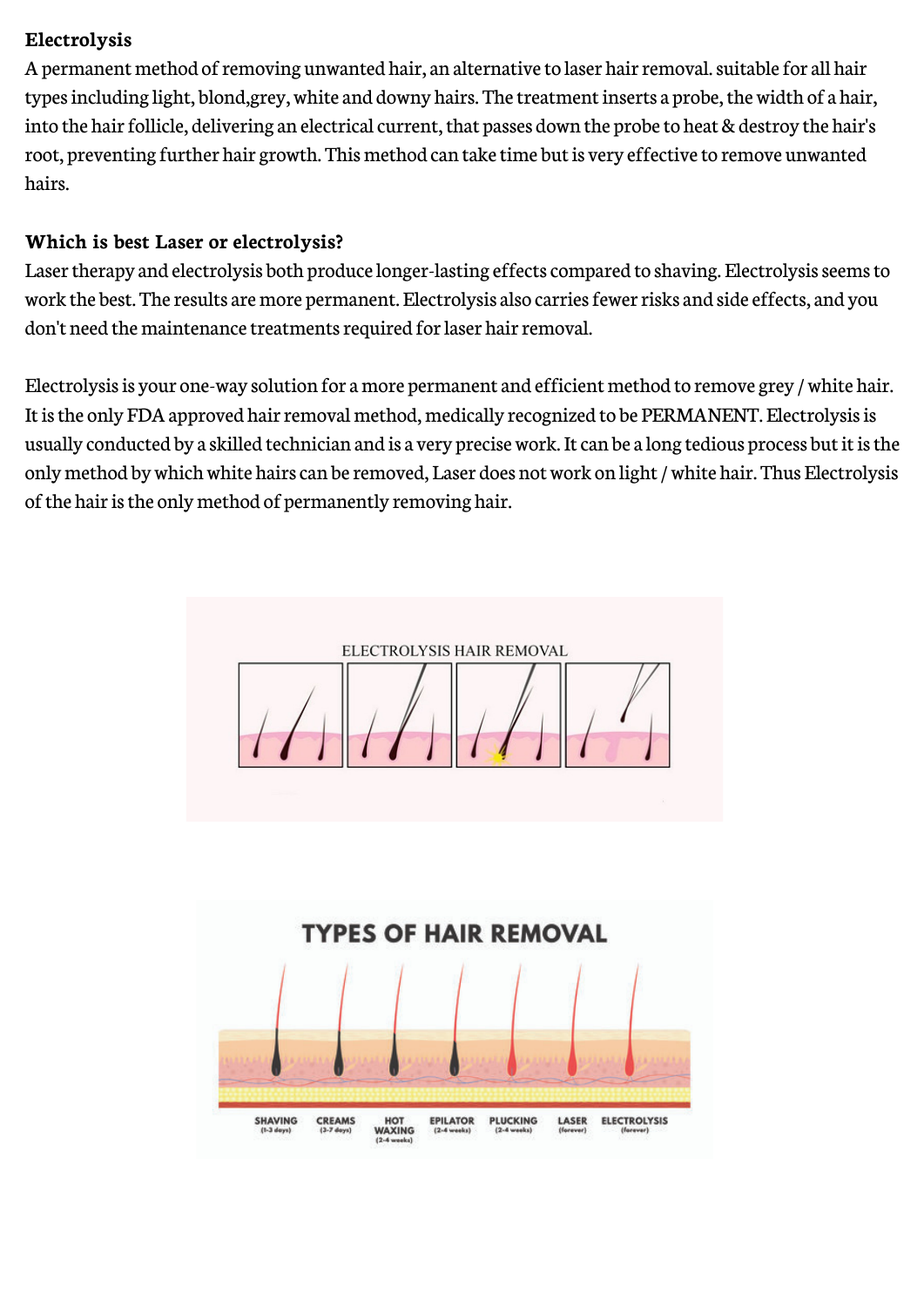## **Electrolysis**

A permanent method of removing unwanted hair, an alternative to laser hair removal. suitable for all hair types including light, blond,grey, white and downy hairs. The treatment inserts a probe, the width of a hair, into the hair follicle, delivering an electrical current, that passes down the probe to heat & destroy the hair's root, preventing further hair growth. This method can take time but is very effective to remove unwanted hairs.

## **Which is best Laser or electrolysis?**

Laser therapy and electrolysis both produce longer-lasting effects compared to shaving. Electrolysis seems to work the best. The results are more permanent. Electrolysis also carries fewer risks and side effects, and you don't need the maintenance treatments required for laser hair removal.

Electrolysis is your one-way solution for a more permanent and efficient method to remove grey / white hair. It is the only FDA approved hair removal method, medically recognized to be PERMANENT. Electrolysis is usually conducted by a skilled technician and is a very precise work. It can be a long tedious process but it is the only method by which white hairs can be removed, Laser does not work on light / white hair. Thus Electrolysis of the hair is the only method of permanently removing hair.